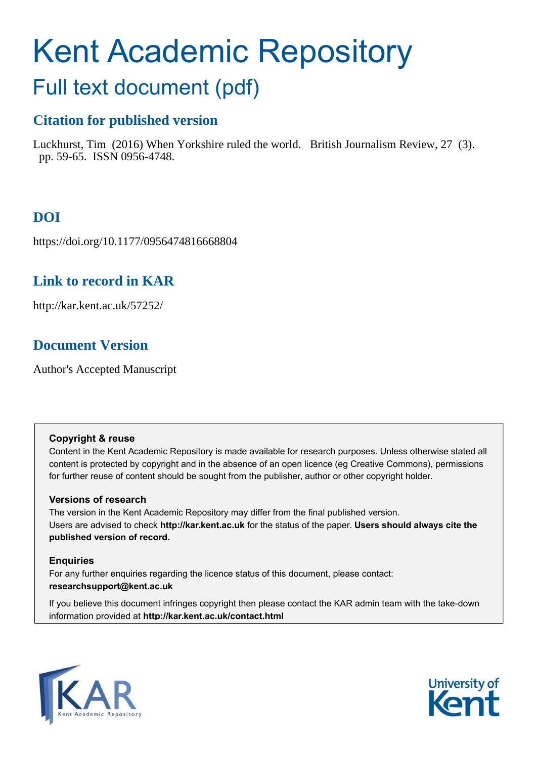# Kent Academic Repository

## Full text document (pdf)

## **Citation for published version**

Luckhurst, Tim (2016) When Yorkshire ruled the world. British Journalism Review, 27 (3). pp. 59-65. ISSN 0956-4748.

## **DOI**

https://doi.org/10.1177/0956474816668804

## **Link to record in KAR**

http://kar.kent.ac.uk/57252/

## **Document Version**

Author's Accepted Manuscript

## **Copyright & reuse**

Content in the Kent Academic Repository is made available for research purposes. Unless otherwise stated all content is protected by copyright and in the absence of an open licence (eg Creative Commons), permissions for further reuse of content should be sought from the publisher, author or other copyright holder.

## **Versions of research**

The version in the Kent Academic Repository may differ from the final published version. Users are advised to check **http://kar.kent.ac.uk** for the status of the paper. **Users should always cite the published version of record.**

## **Enquiries**

For any further enquiries regarding the licence status of this document, please contact: **researchsupport@kent.ac.uk**

If you believe this document infringes copyright then please contact the KAR admin team with the take-down information provided at **http://kar.kent.ac.uk/contact.html**



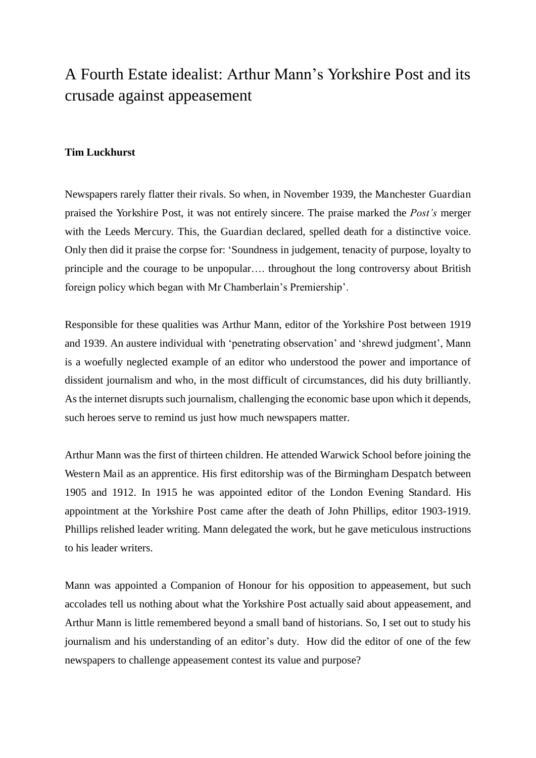## A Fourth Estate idealist: Arthur Mann's Yorkshire Post and its crusade against appeasement

## **Tim Luckhurst**

Newspapers rarely flatter their rivals. So when, in November 1939, the Manchester Guardian praised the Yorkshire Post, it was not entirely sincere. The praise marked the *Post's* merger with the Leeds Mercury. This, the Guardian declared, spelled death for a distinctive voice. Only then did it praise the corpse for: 'Soundness in judgement, tenacity of purpose, loyalty to principle and the courage to be unpopular…. throughout the long controversy about British foreign policy which began with Mr Chamberlain's Premiership'.

Responsible for these qualities was Arthur Mann, editor of the Yorkshire Post between 1919 and 1939. An austere individual with 'penetrating observation' and 'shrewd judgment', Mann is a woefully neglected example of an editor who understood the power and importance of dissident journalism and who, in the most difficult of circumstances, did his duty brilliantly. As the internet disrupts such journalism, challenging the economic base upon which it depends, such heroes serve to remind us just how much newspapers matter.

Arthur Mann was the first of thirteen children. He attended Warwick School before joining the Western Mail as an apprentice. His first editorship was of the Birmingham Despatch between 1905 and 1912. In 1915 he was appointed editor of the London Evening Standard. His appointment at the Yorkshire Post came after the death of John Phillips, editor 1903-1919. Phillips relished leader writing. Mann delegated the work, but he gave meticulous instructions to his leader writers.

Mann was appointed a Companion of Honour for his opposition to appeasement, but such accolades tell us nothing about what the Yorkshire Post actually said about appeasement, and Arthur Mann is little remembered beyond a small band of historians. So, I set out to study his journalism and his understanding of an editor's duty. How did the editor of one of the few newspapers to challenge appeasement contest its value and purpose?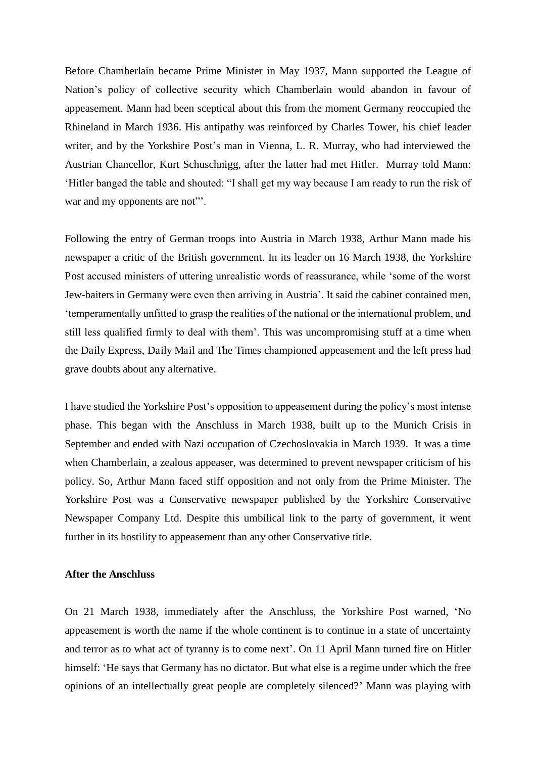Before Chamberlain became Prime Minister in May 1937, Mann supported the League of Nation's policy of collective security which Chamberlain would abandon in favour of appeasement. Mann had been sceptical about this from the moment Germany reoccupied the Rhineland in March 1936. His antipathy was reinforced by Charles Tower, his chief leader writer, and by the Yorkshire Post's man in Vienna, L. R. Murray, who had interviewed the Austrian Chancellor, Kurt Schuschnigg, after the latter had met Hitler. Murray told Mann: 'Hitler banged the table and shouted: "I shall get my way because I am ready to run the risk of war and my opponents are not".

Following the entry of German troops into Austria in March 1938, Arthur Mann made his newspaper a critic of the British government. In its leader on 16 March 1938, the Yorkshire Post accused ministers of uttering unrealistic words of reassurance, while 'some of the worst Jew-baiters in Germany were even then arriving in Austria'. It said the cabinet contained men, 'temperamentally unfitted to grasp the realities of the national or the international problem, and still less qualified firmly to deal with them'. This was uncompromising stuff at a time when the Daily Express, Daily Mail and The Times championed appeasement and the left press had grave doubts about any alternative.

I have studied the Yorkshire Post's opposition to appeasement during the policy's most intense phase. This began with the Anschluss in March 1938, built up to the Munich Crisis in September and ended with Nazi occupation of Czechoslovakia in March 1939. It was a time when Chamberlain, a zealous appeaser, was determined to prevent newspaper criticism of his policy. So, Arthur Mann faced stiff opposition and not only from the Prime Minister. The Yorkshire Post was a Conservative newspaper published by the Yorkshire Conservative Newspaper Company Ltd. Despite this umbilical link to the party of government, it went further in its hostility to appeasement than any other Conservative title.

#### **After the Anschluss**

On 21 March 1938, immediately after the Anschluss, the Yorkshire Post warned, 'No appeasement is worth the name if the whole continent is to continue in a state of uncertainty and terror as to what act of tyranny is to come next'. On 11 April Mann turned fire on Hitler himself: 'He says that Germany has no dictator. But what else is a regime under which the free opinions of an intellectually great people are completely silenced?' Mann was playing with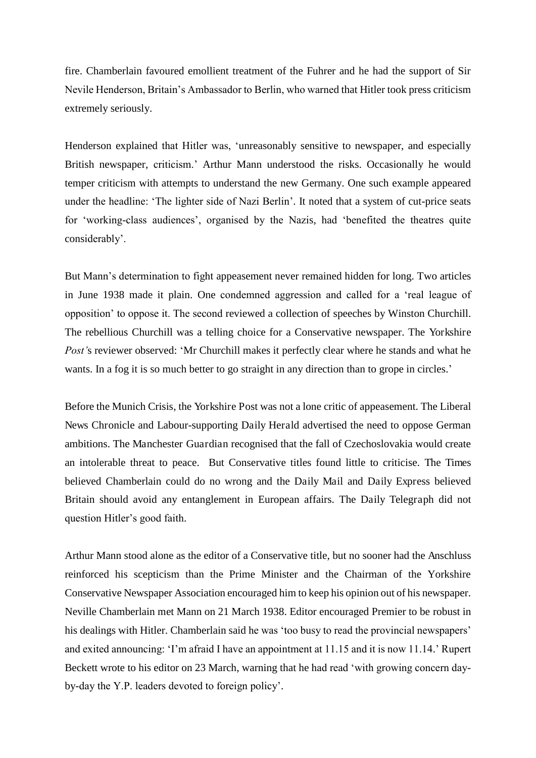fire. Chamberlain favoured emollient treatment of the Fuhrer and he had the support of Sir Nevile Henderson, Britain's Ambassador to Berlin, who warned that Hitler took press criticism extremely seriously.

Henderson explained that Hitler was, 'unreasonably sensitive to newspaper, and especially British newspaper, criticism.' Arthur Mann understood the risks. Occasionally he would temper criticism with attempts to understand the new Germany. One such example appeared under the headline: 'The lighter side of Nazi Berlin'. It noted that a system of cut-price seats for 'working-class audiences', organised by the Nazis, had 'benefited the theatres quite considerably'.

But Mann's determination to fight appeasement never remained hidden for long. Two articles in June 1938 made it plain. One condemned aggression and called for a 'real league of opposition' to oppose it. The second reviewed a collection of speeches by Winston Churchill. The rebellious Churchill was a telling choice for a Conservative newspaper. The Yorkshire *Post'*s reviewer observed: 'Mr Churchill makes it perfectly clear where he stands and what he wants. In a fog it is so much better to go straight in any direction than to grope in circles.'

Before the Munich Crisis, the Yorkshire Post was not a lone critic of appeasement. The Liberal News Chronicle and Labour-supporting Daily Herald advertised the need to oppose German ambitions. The Manchester Guardian recognised that the fall of Czechoslovakia would create an intolerable threat to peace. But Conservative titles found little to criticise. The Times believed Chamberlain could do no wrong and the Daily Mail and Daily Express believed Britain should avoid any entanglement in European affairs. The Daily Telegraph did not question Hitler's good faith.

Arthur Mann stood alone as the editor of a Conservative title, but no sooner had the Anschluss reinforced his scepticism than the Prime Minister and the Chairman of the Yorkshire Conservative Newspaper Association encouraged him to keep his opinion out of his newspaper. Neville Chamberlain met Mann on 21 March 1938. Editor encouraged Premier to be robust in his dealings with Hitler. Chamberlain said he was 'too busy to read the provincial newspapers' and exited announcing: 'I'm afraid I have an appointment at 11.15 and it is now 11.14.' Rupert Beckett wrote to his editor on 23 March, warning that he had read 'with growing concern dayby-day the Y.P. leaders devoted to foreign policy'.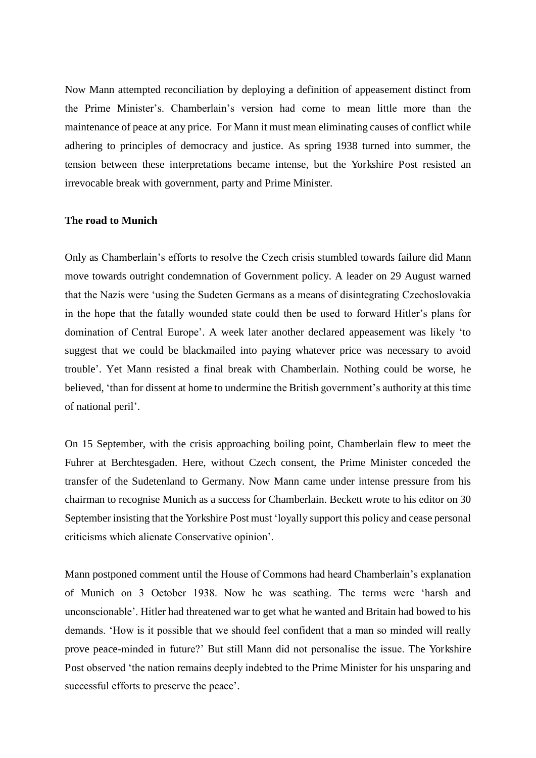Now Mann attempted reconciliation by deploying a definition of appeasement distinct from the Prime Minister's. Chamberlain's version had come to mean little more than the maintenance of peace at any price. For Mann it must mean eliminating causes of conflict while adhering to principles of democracy and justice. As spring 1938 turned into summer, the tension between these interpretations became intense, but the Yorkshire Post resisted an irrevocable break with government, party and Prime Minister.

#### **The road to Munich**

Only as Chamberlain's efforts to resolve the Czech crisis stumbled towards failure did Mann move towards outright condemnation of Government policy. A leader on 29 August warned that the Nazis were 'using the Sudeten Germans as a means of disintegrating Czechoslovakia in the hope that the fatally wounded state could then be used to forward Hitler's plans for domination of Central Europe'. A week later another declared appeasement was likely 'to suggest that we could be blackmailed into paying whatever price was necessary to avoid trouble'. Yet Mann resisted a final break with Chamberlain. Nothing could be worse, he believed, 'than for dissent at home to undermine the British government's authority at this time of national peril'.

On 15 September, with the crisis approaching boiling point, Chamberlain flew to meet the Fuhrer at Berchtesgaden. Here, without Czech consent, the Prime Minister conceded the transfer of the Sudetenland to Germany. Now Mann came under intense pressure from his chairman to recognise Munich as a success for Chamberlain. Beckett wrote to his editor on 30 September insisting that the Yorkshire Post must 'loyally support this policy and cease personal criticisms which alienate Conservative opinion'.

Mann postponed comment until the House of Commons had heard Chamberlain's explanation of Munich on 3 October 1938. Now he was scathing. The terms were 'harsh and unconscionable'. Hitler had threatened war to get what he wanted and Britain had bowed to his demands. 'How is it possible that we should feel confident that a man so minded will really prove peace-minded in future?' But still Mann did not personalise the issue. The Yorkshire Post observed 'the nation remains deeply indebted to the Prime Minister for his unsparing and successful efforts to preserve the peace'.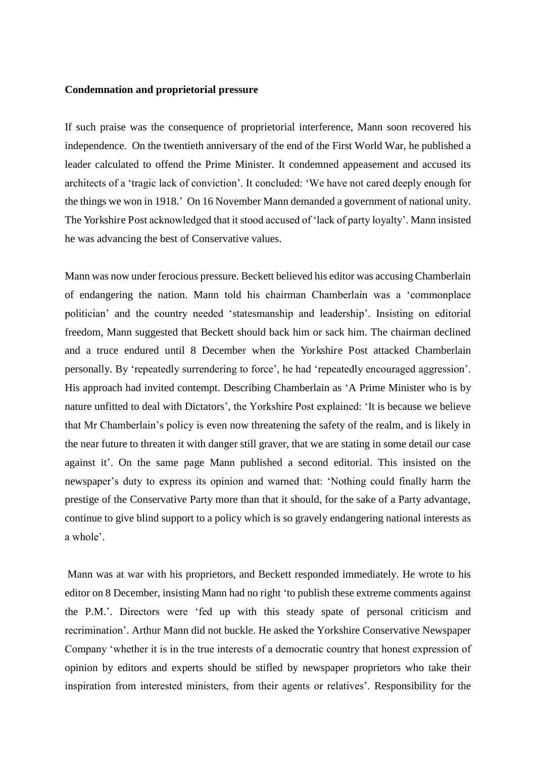#### **Condemnation and proprietorial pressure**

If such praise was the consequence of proprietorial interference, Mann soon recovered his independence. On the twentieth anniversary of the end of the First World War, he published a leader calculated to offend the Prime Minister. It condemned appeasement and accused its architects of a 'tragic lack of conviction'. It concluded: 'We have not cared deeply enough for the things we won in 1918.' On 16 November Mann demanded a government of national unity. The Yorkshire Post acknowledged that it stood accused of 'lack of party loyalty'. Mann insisted he was advancing the best of Conservative values.

Mann was now under ferocious pressure. Beckett believed his editor was accusing Chamberlain of endangering the nation. Mann told his chairman Chamberlain was a 'commonplace politician' and the country needed 'statesmanship and leadership'. Insisting on editorial freedom, Mann suggested that Beckett should back him or sack him. The chairman declined and a truce endured until 8 December when the Yorkshire Post attacked Chamberlain personally. By 'repeatedly surrendering to force', he had 'repeatedly encouraged aggression'. His approach had invited contempt. Describing Chamberlain as 'A Prime Minister who is by nature unfitted to deal with Dictators', the Yorkshire Post explained: 'It is because we believe that Mr Chamberlain's policy is even now threatening the safety of the realm, and is likely in the near future to threaten it with danger still graver, that we are stating in some detail our case against it'. On the same page Mann published a second editorial. This insisted on the newspaper's duty to express its opinion and warned that: 'Nothing could finally harm the prestige of the Conservative Party more than that it should, for the sake of a Party advantage, continue to give blind support to a policy which is so gravely endangering national interests as a whole'.

 Mann was at war with his proprietors, and Beckett responded immediately. He wrote to his editor on 8 December, insisting Mann had no right 'to publish these extreme comments against the P.M.'. Directors were 'fed up with this steady spate of personal criticism and recrimination'. Arthur Mann did not buckle. He asked the Yorkshire Conservative Newspaper Company 'whether it is in the true interests of a democratic country that honest expression of opinion by editors and experts should be stifled by newspaper proprietors who take their inspiration from interested ministers, from their agents or relatives'. Responsibility for the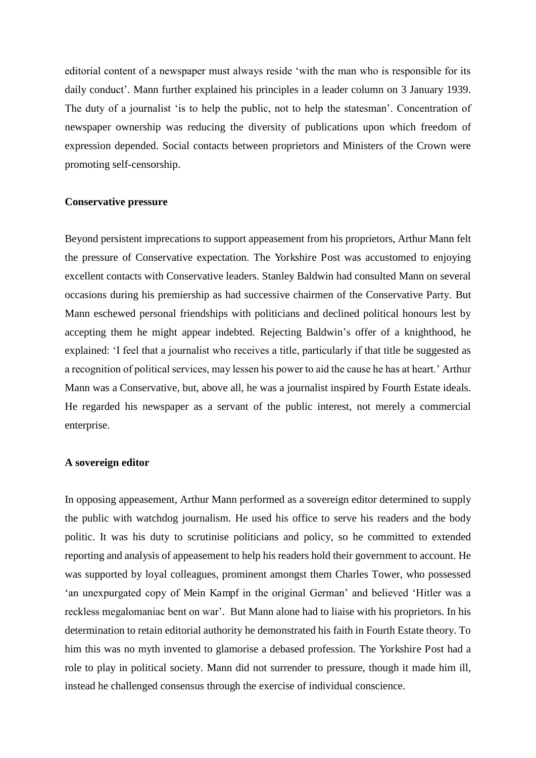editorial content of a newspaper must always reside 'with the man who is responsible for its daily conduct'. Mann further explained his principles in a leader column on 3 January 1939. The duty of a journalist 'is to help the public, not to help the statesman'. Concentration of newspaper ownership was reducing the diversity of publications upon which freedom of expression depended. Social contacts between proprietors and Ministers of the Crown were promoting self-censorship.

#### **Conservative pressure**

Beyond persistent imprecations to support appeasement from his proprietors, Arthur Mann felt the pressure of Conservative expectation. The Yorkshire Post was accustomed to enjoying excellent contacts with Conservative leaders. Stanley Baldwin had consulted Mann on several occasions during his premiership as had successive chairmen of the Conservative Party. But Mann eschewed personal friendships with politicians and declined political honours lest by accepting them he might appear indebted. Rejecting Baldwin's offer of a knighthood, he explained: 'I feel that a journalist who receives a title, particularly if that title be suggested as a recognition of political services, may lessen his power to aid the cause he has at heart.' Arthur Mann was a Conservative, but, above all, he was a journalist inspired by Fourth Estate ideals. He regarded his newspaper as a servant of the public interest, not merely a commercial enterprise.

### **A sovereign editor**

In opposing appeasement, Arthur Mann performed as a sovereign editor determined to supply the public with watchdog journalism. He used his office to serve his readers and the body politic. It was his duty to scrutinise politicians and policy, so he committed to extended reporting and analysis of appeasement to help his readers hold their government to account. He was supported by loyal colleagues, prominent amongst them Charles Tower, who possessed 'an unexpurgated copy of Mein Kampf in the original German' and believed 'Hitler was a reckless megalomaniac bent on war'. But Mann alone had to liaise with his proprietors. In his determination to retain editorial authority he demonstrated his faith in Fourth Estate theory. To him this was no myth invented to glamorise a debased profession. The Yorkshire Post had a role to play in political society. Mann did not surrender to pressure, though it made him ill, instead he challenged consensus through the exercise of individual conscience.